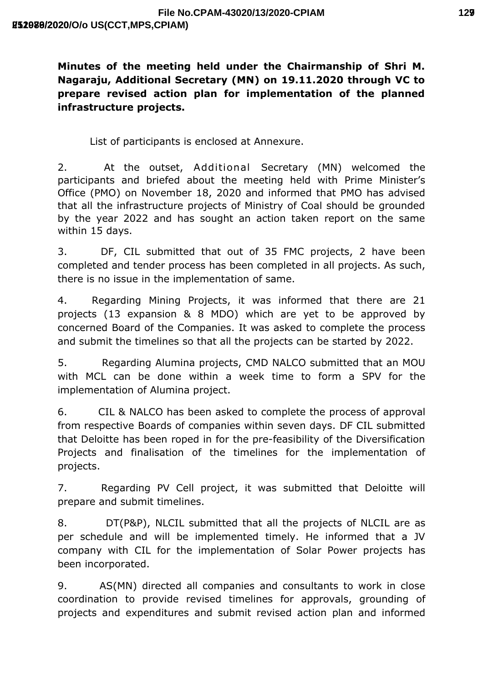**Minutes of the meeting held under the Chairmanship of Shri M. Nagaraju, Additional Secretary (MN) on 19.11.2020 through VC to prepare revised action plan for implementation of the planned infrastructure projects.**

List of participants is enclosed at Annexure.

2. At the outset, Additional Secretary (MN) welcomed the participants and briefed about the meeting held with Prime Minister's Office (PMO) on November 18, 2020 and informed that PMO has advised that all the infrastructure projects of Ministry of Coal should be grounded by the year 2022 and has sought an action taken report on the same within 15 days.

3. DF, CIL submitted that out of 35 FMC projects, 2 have been completed and tender process has been completed in all projects. As such, there is no issue in the implementation of same.

4. Regarding Mining Projects, it was informed that there are 21 projects (13 expansion & 8 MDO) which are yet to be approved by concerned Board of the Companies. It was asked to complete the process and submit the timelines so that all the projects can be started by 2022.

5. Regarding Alumina projects, CMD NALCO submitted that an MOU with MCL can be done within a week time to form a SPV for the implementation of Alumina project.

6. CIL & NALCO has been asked to complete the process of approval from respective Boards of companies within seven days. DF CIL submitted that Deloitte has been roped in for the pre-feasibility of the Diversification Projects and finalisation of the timelines for the implementation of projects.

7. Regarding PV Cell project, it was submitted that Deloitte will prepare and submit timelines.

8. DT(P&P), NLCIL submitted that all the projects of NLCIL are as per schedule and will be implemented timely. He informed that a JV company with CIL for the implementation of Solar Power projects has been incorporated.

9. AS(MN) directed all companies and consultants to work in close coordination to provide revised timelines for approvals, grounding of projects and expenditures and submit revised action plan and informed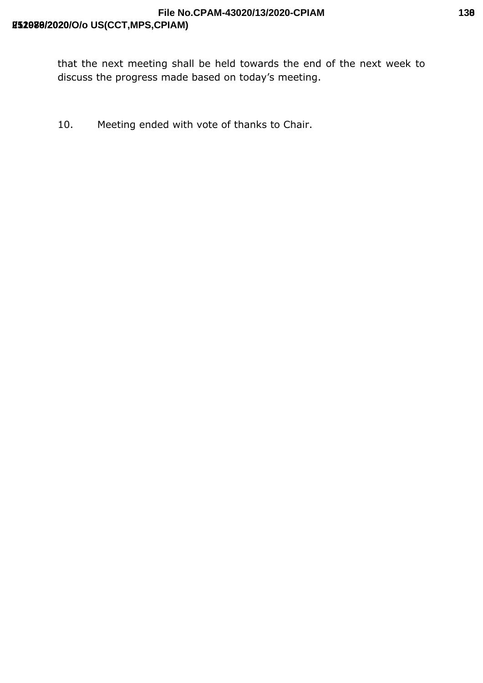that the next meeting shall be held towards the end of the next week to discuss the progress made based on today's meeting.

10. Meeting ended with vote of thanks to Chair.